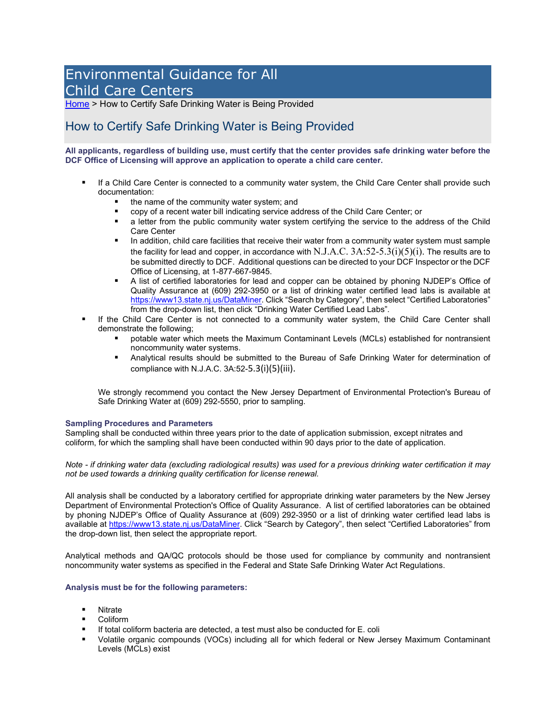## Environmental Guidance for All Child Care Centers

[Home](https://www.nj.gov/dep/dccrequest/index.html) > How to Certify Safe Drinking Water is Being Provided

## How to Certify Safe Drinking Water is Being Provided

**All applicants, regardless of building use, must certify that the center provides safe drinking water before the DCF Office of Licensing will approve an application to operate a child care center.** 

- If a Child Care Center is connected to a community water system, the Child Care Center shall provide such documentation:
	- the name of the community water system; and
	- copy of a recent water bill indicating service address of the Child Care Center; or<br>■ a letter from the public community water system certifying the service to the ad
	- a letter from the public community water system certifying the service to the address of the Child Care Center
	- **IF** In addition, child care facilities that receive their water from a community water system must sample the facility for lead and copper, in accordance with N.J.A.C.  $3A:52-5.3(i)(5)(i)$ . The results are to be submitted directly to DCF. Additional questions can be directed to your DCF Inspector or the DCF Office of Licensing, at 1-877-667-9845.
	- A list of certified laboratories for lead and copper can be obtained by phoning NJDEP's Office of Quality Assurance at (609) 292-3950 or a list of drinking water certified lead labs is available at [https://www13.state.nj.us/DataMiner.](https://www13.state.nj.us/DataMiner) Click "Search by Category", then select "Certified Laboratories" from the drop-down list, then click "Drinking Water Certified Lead Labs".
- If the Child Care Center is not connected to a community water system, the Child Care Center shall demonstrate the following;
	- potable water which meets the Maximum Contaminant Levels (MCLs) established for nontransient noncommunity water systems.
	- Analytical results should be submitted to the Bureau of Safe Drinking Water for determination of compliance with N.J.A.C. 3A:52-5.3(i)(5)(iii).

We strongly recommend you contact the New Jersey Department of Environmental Protection's Bureau of Safe Drinking Water at (609) 292-5550, prior to sampling.

## **Sampling Procedures and Parameters**

Sampling shall be conducted within three years prior to the date of application submission, except nitrates and coliform, for which the sampling shall have been conducted within 90 days prior to the date of application.

*Note - if drinking water data (excluding radiological results) was used for a previous drinking water certification it may not be used towards a drinking quality certification for license renewal.* 

All analysis shall be conducted by a laboratory certified for appropriate drinking water parameters by the New Jersey Department of Environmental Protection's Office of Quality Assurance. A list of certified laboratories can be obtained by phoning NJDEP's Office of Quality Assurance at (609) 292-3950 or a list of drinking water certified lead labs is available at [https://www13.state.nj.us/DataMiner.](https://www13.state.nj.us/DataMiner) Click "Search by Category", then select "Certified Laboratories" from the drop-down list, then select the appropriate report.

Analytical methods and QA/QC protocols should be those used for compliance by community and nontransient noncommunity water systems as specified in the Federal and State Safe Drinking Water Act Regulations.

## **Analysis must be for the following parameters:**

- **Nitrate**
- Coliform
- If total coliform bacteria are detected, a test must also be conducted for E. coli
- Volatile organic compounds (VOCs) including all for which federal or New Jersey Maximum Contaminant Levels (MCLs) exist